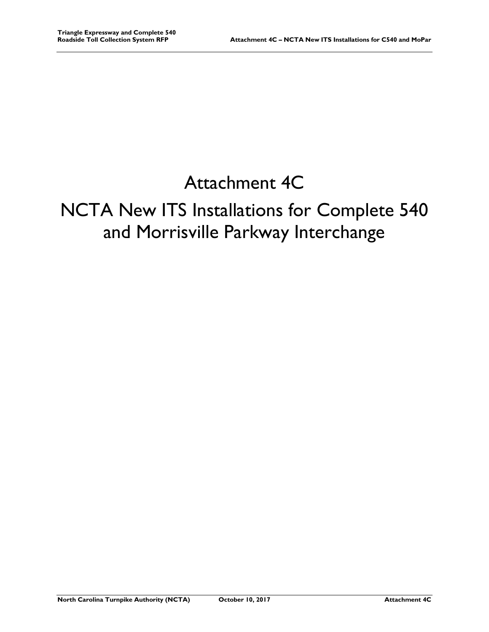## Attachment 4C

## NCTA New ITS Installations for Complete 540 and Morrisville Parkway Interchange